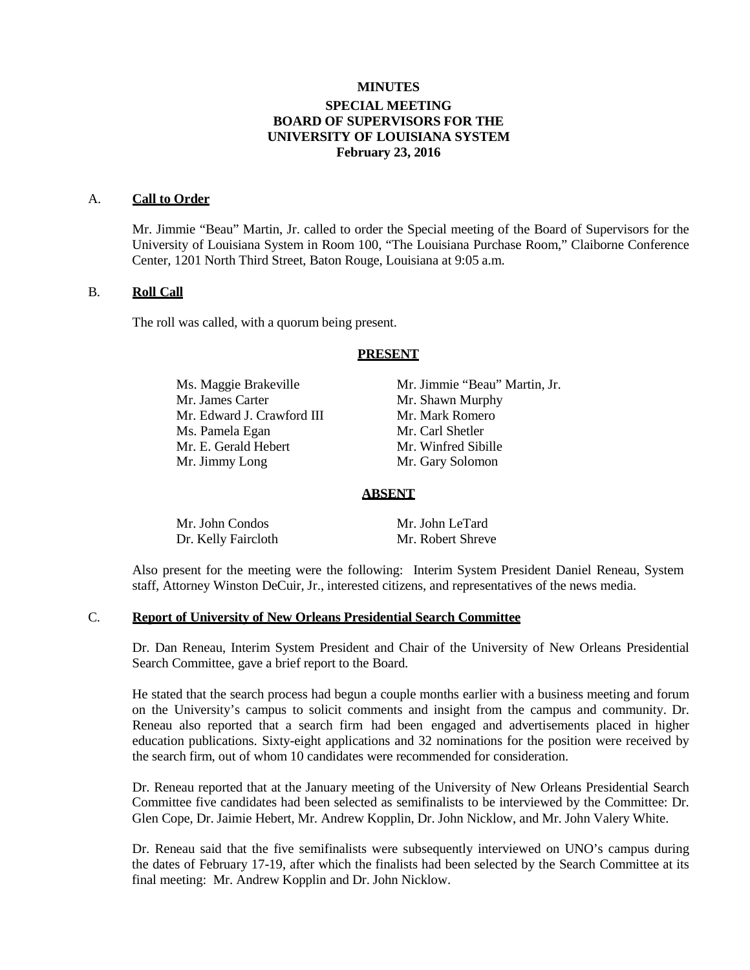# **MINUTES SPECIAL MEETING BOARD OF SUPERVISORS FOR THE UNIVERSITY OF LOUISIANA SYSTEM February 23, 2016**

### A. **Call to Order**

Mr. Jimmie "Beau" Martin, Jr. called to order the Special meeting of the Board of Supervisors for the University of Louisiana System in Room 100, "The Louisiana Purchase Room," Claiborne Conference Center, 1201 North Third Street, Baton Rouge, Louisiana at 9:05 a.m.

### B. **Roll Call**

The roll was called, with a quorum being present.

#### **PRESENT**

Ms. Maggie Brakeville Mr. Jimmie "Beau" Martin, Jr.<br>Mr. James Carter Mr. Shawn Murphy Mr. Edward J. Crawford III Mr. Mark Romero Ms. Pamela Egan Mr. Carl Shetler Mr. E. Gerald Hebert Mr. Winfred Sibille Mr. Jimmy Long Mr. Gary Solomon

Mr. Shawn Murphy

#### **ABSENT**

| Mr. John Condos     | Mr. John LeTard   |
|---------------------|-------------------|
| Dr. Kelly Faircloth | Mr. Robert Shreve |

Also present for the meeting were the following: Interim System President Daniel Reneau, System staff, Attorney Winston DeCuir, Jr., interested citizens, and representatives of the news media.

#### C. **Report of University of New Orleans Presidential Search Committee**

Dr. Dan Reneau, Interim System President and Chair of the University of New Orleans Presidential Search Committee, gave a brief report to the Board.

He stated that the search process had begun a couple months earlier with a business meeting and forum on the University's campus to solicit comments and insight from the campus and community. Dr. Reneau also reported that a search firm had been engaged and advertisements placed in higher education publications. Sixty-eight applications and 32 nominations for the position were received by the search firm, out of whom 10 candidates were recommended for consideration.

Dr. Reneau reported that at the January meeting of the University of New Orleans Presidential Search Committee five candidates had been selected as semifinalists to be interviewed by the Committee: Dr. Glen Cope, Dr. Jaimie Hebert, Mr. Andrew Kopplin, Dr. John Nicklow, and Mr. John Valery White.

Dr. Reneau said that the five semifinalists were subsequently interviewed on UNO's campus during the dates of February 17-19, after which the finalists had been selected by the Search Committee at its final meeting: Mr. Andrew Kopplin and Dr. John Nicklow.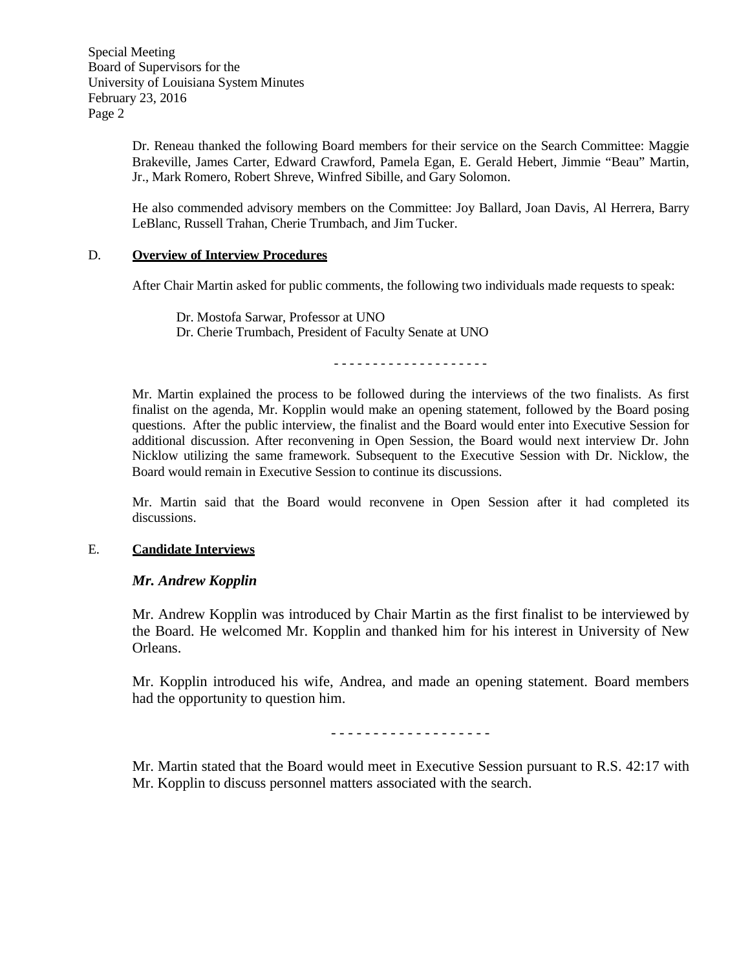Special Meeting Board of Supervisors for the University of Louisiana System Minutes February 23, 2016 Page 2

> Dr. Reneau thanked the following Board members for their service on the Search Committee: Maggie Brakeville, James Carter, Edward Crawford, Pamela Egan, E. Gerald Hebert, Jimmie "Beau" Martin, Jr., Mark Romero, Robert Shreve, Winfred Sibille, and Gary Solomon.

> He also commended advisory members on the Committee: Joy Ballard, Joan Davis, Al Herrera, Barry LeBlanc, Russell Trahan, Cherie Trumbach, and Jim Tucker.

### D. **Overview of Interview Procedures**

After Chair Martin asked for public comments, the following two individuals made requests to speak:

Dr. Mostofa Sarwar, Professor at UNO Dr. Cherie Trumbach, President of Faculty Senate at UNO

- - - - - - - - - - - - - - - - - - - -

Mr. Martin explained the process to be followed during the interviews of the two finalists. As first finalist on the agenda, Mr. Kopplin would make an opening statement, followed by the Board posing questions. After the public interview, the finalist and the Board would enter into Executive Session for additional discussion. After reconvening in Open Session, the Board would next interview Dr. John Nicklow utilizing the same framework. Subsequent to the Executive Session with Dr. Nicklow, the Board would remain in Executive Session to continue its discussions.

Mr. Martin said that the Board would reconvene in Open Session after it had completed its discussions.

## E. **Candidate Interviews**

## *Mr. Andrew Kopplin*

Mr. Andrew Kopplin was introduced by Chair Martin as the first finalist to be interviewed by the Board. He welcomed Mr. Kopplin and thanked him for his interest in University of New Orleans.

Mr. Kopplin introduced his wife, Andrea, and made an opening statement. Board members had the opportunity to question him.

- - - - - - - - - - - - - - - - - - -

Mr. Martin stated that the Board would meet in Executive Session pursuant to R.S. 42:17 with Mr. Kopplin to discuss personnel matters associated with the search.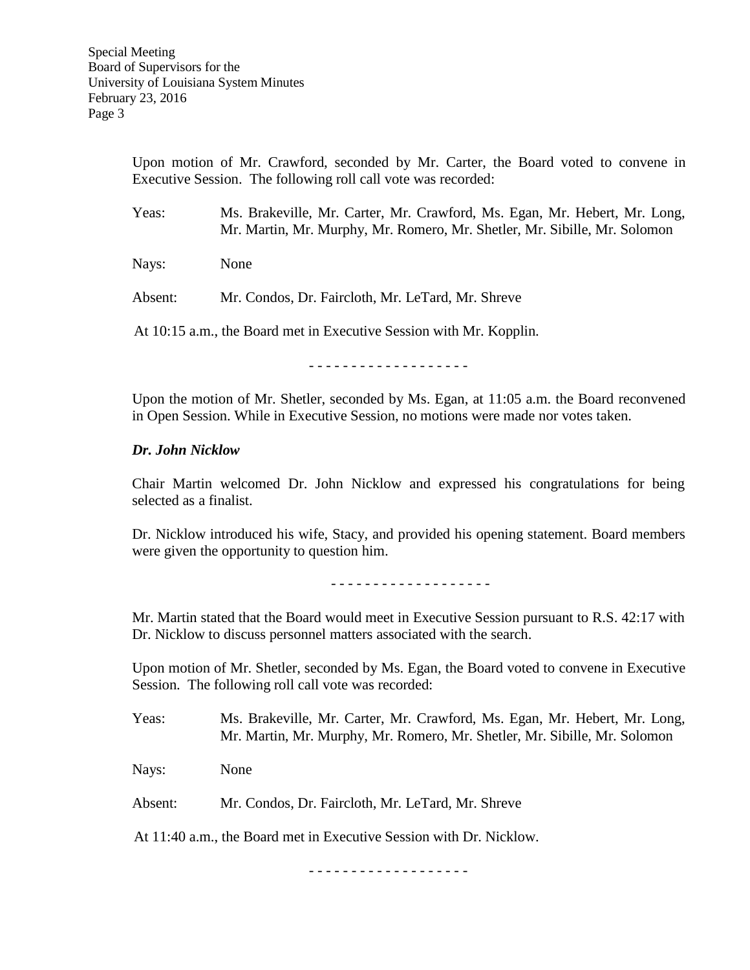Upon motion of Mr. Crawford, seconded by Mr. Carter, the Board voted to convene in Executive Session. The following roll call vote was recorded:

Yeas: Ms. Brakeville, Mr. Carter, Mr. Crawford, Ms. Egan, Mr. Hebert, Mr. Long, Mr. Martin, Mr. Murphy, Mr. Romero, Mr. Shetler, Mr. Sibille, Mr. Solomon

Nays: None

Absent: Mr. Condos, Dr. Faircloth, Mr. LeTard, Mr. Shreve

At 10:15 a.m., the Board met in Executive Session with Mr. Kopplin.

- - - - - - - - - - - - - - - - - - -

Upon the motion of Mr. Shetler, seconded by Ms. Egan, at 11:05 a.m. the Board reconvened in Open Session. While in Executive Session, no motions were made nor votes taken.

## *Dr. John Nicklow*

Chair Martin welcomed Dr. John Nicklow and expressed his congratulations for being selected as a finalist.

Dr. Nicklow introduced his wife, Stacy, and provided his opening statement. Board members were given the opportunity to question him.

- - - - - - - - - - - - - - - - - - -

Mr. Martin stated that the Board would meet in Executive Session pursuant to R.S. 42:17 with Dr. Nicklow to discuss personnel matters associated with the search.

Upon motion of Mr. Shetler, seconded by Ms. Egan, the Board voted to convene in Executive Session. The following roll call vote was recorded:

Yeas: Ms. Brakeville, Mr. Carter, Mr. Crawford, Ms. Egan, Mr. Hebert, Mr. Long, Mr. Martin, Mr. Murphy, Mr. Romero, Mr. Shetler, Mr. Sibille, Mr. Solomon

Nays: None

Absent: Mr. Condos, Dr. Faircloth, Mr. LeTard, Mr. Shreve

At 11:40 a.m., the Board met in Executive Session with Dr. Nicklow.

- - - - - - - - - - - - - - - - - - -